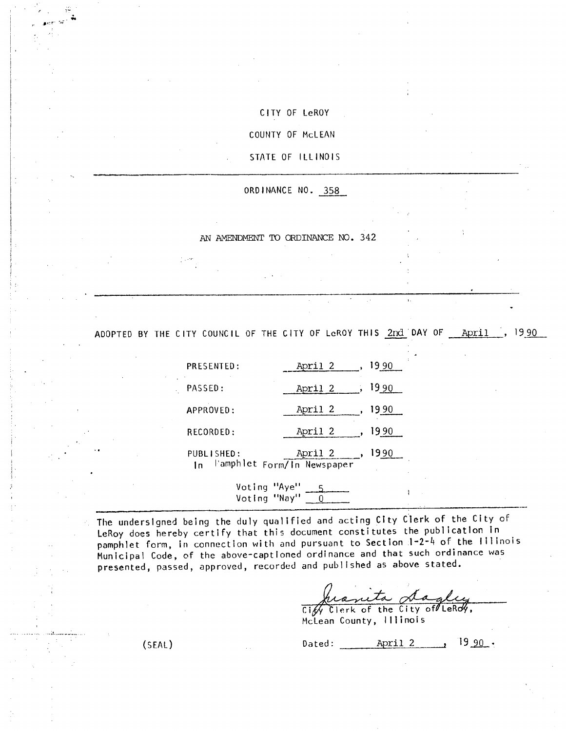# CITY OF LeROY

COUNTY OF McLEAN

## STATE OF ILLINOIS

ORDINANCE NO. 358

AN ANIENDMENT TO ORDINANCE NO. 342

ADOPTED BY THE CITY COUNCIL OF THE CITY OF LeROY THIS 2nd DAY OF April , 1990

|           | PRESENTED:        | 19 90<br>April 2                             |  |
|-----------|-------------------|----------------------------------------------|--|
|           | PASSED:           | 1990<br>April 2                              |  |
|           | APPROVED:         | 19 90<br>April 2                             |  |
|           | RECORDED:         | 19 90<br>April 2                             |  |
| $\cdot$ . | PUBLISHED:<br>l n | 1990<br>April<br>l'amphiet Form/In Newspaper |  |

Voting "Aye" <u>\_\_5</u> Voting "Nay" \_\_\_<u>0</u>

The undersigned being the duly qualified and acting City Clerk of the City of LeRoy does hereby certify that this document constitutes the publication In pamphlet form, in connection with and pursuant to Section 1-2-4 of the Illinois Municipal Code, of the above-captioned ordinance and that such ordinance was presented, passed, approved, recorded and published as above stated.

heanita dagley

 $\bar{\mathbf{r}}$  .

McLean County, Illinois

 $(SEAL)$  Dated:  $\frac{\text{April 2}}{\text{April 2}}$ , 19 90.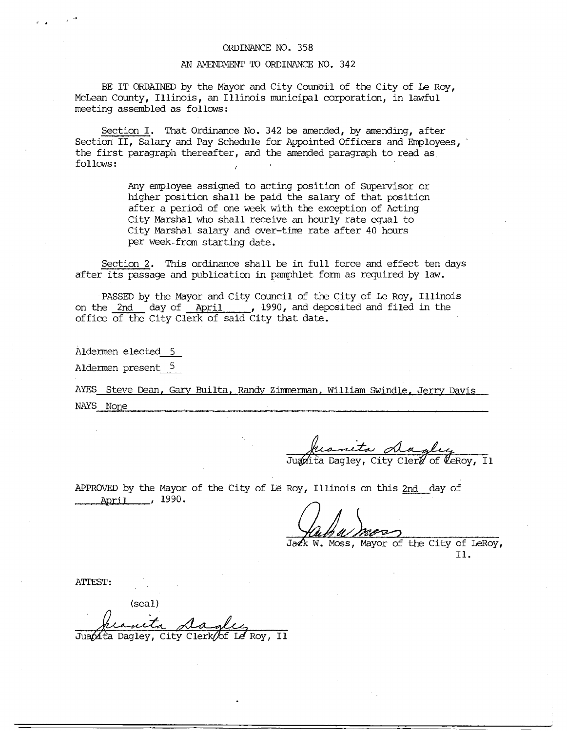### ORDINANCE NO. 358

## AN AMENDMENT TO ORDINANCE NO. 342

BE IT ORDAINED by the Mayor and City Council of the City of Le Roy, McLean County, Illinois, an Illinois municipal corporation, in lawful meeting assembled as follows:

Section I. That Ordinance No. 342 be amended, by amending, after Section II, Salary and Pay Schedule for Appointed Officers and Employees, the first paragraph thereafter, and the amended paragraph to read as follows: .

> Any employee assigned to acting position of Supervisor or higher position shall be paid the salary of that position after a period of one week with the exception of Acting City Marshal who shall receive an hourly rate equal to City Marshal salary and over-time rate after 40 hours per week.from starting date.

Section 2. This ordinance shall be in full force and effect ten days after its passage and publication in pamphlet form as required by law.

PASSED by the Mayor and City Council of the City of Le Roy, Illinois on the 2nd day of April , 1990, and deposited and filed in the office of the City Clerk of said City that date.

Aldermen elected 5

**I** *F* 

Aldermen present 5

AYES Steve Dean, Gary Builta, Randy Zimmerman, William Swindle, Jerry Davis NAYS None

his deeply<br>Justita Dagley, City Clerk of CeRoy, Il

APPROVED by the Mayor of the City of Le Roy, Illinois on this 2nd day of April , 1990.

Jack W. Moss, Mayor of the City of LeRoy, Il.

ATTEST:

(seal)

Juapita Dagley, City Clerk/of Le Roy, Il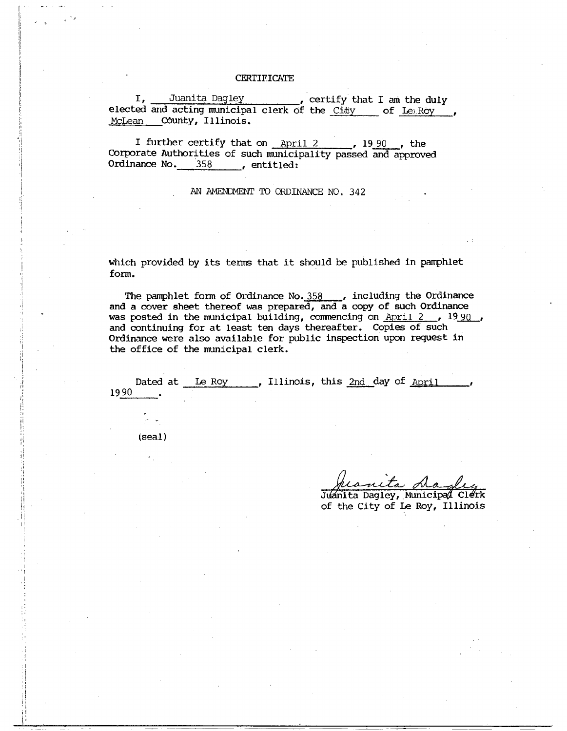#### **CERTIFICATE**

I, Juanita Dagley certify that I am the duly elected and acting municipal clerk of the City of LeiRoy McLean County, Illinois.

I further certify that on  $\Delta p$  12  $\ldots$ , 19 90 , the Corporate Authorities of such municipality passed and approved Ordinance No. 358 , entitled:

AN AMENDMENT TO ORDINANCE NO. 342

which provided by its terms that it should be published in pamphlet form.

The pamphlet form of Ordinance No.  $358$  , including the Ordinance and a cover sheet thereof was prepared, and a copy of such Ordinance was posted in the municipal building, commencing on  $April 2, 19.90$ , and continuing for at least ten days thereafter. Copies of such Ordinance were also available for public inspection upon request in the office of the municipal clerk.

Dated at Le Roy , Illinois, this 2nd day of April 1990

(seal)

Juanita Dagley, Municipal Clerk of the City of Le Roy, Illinois